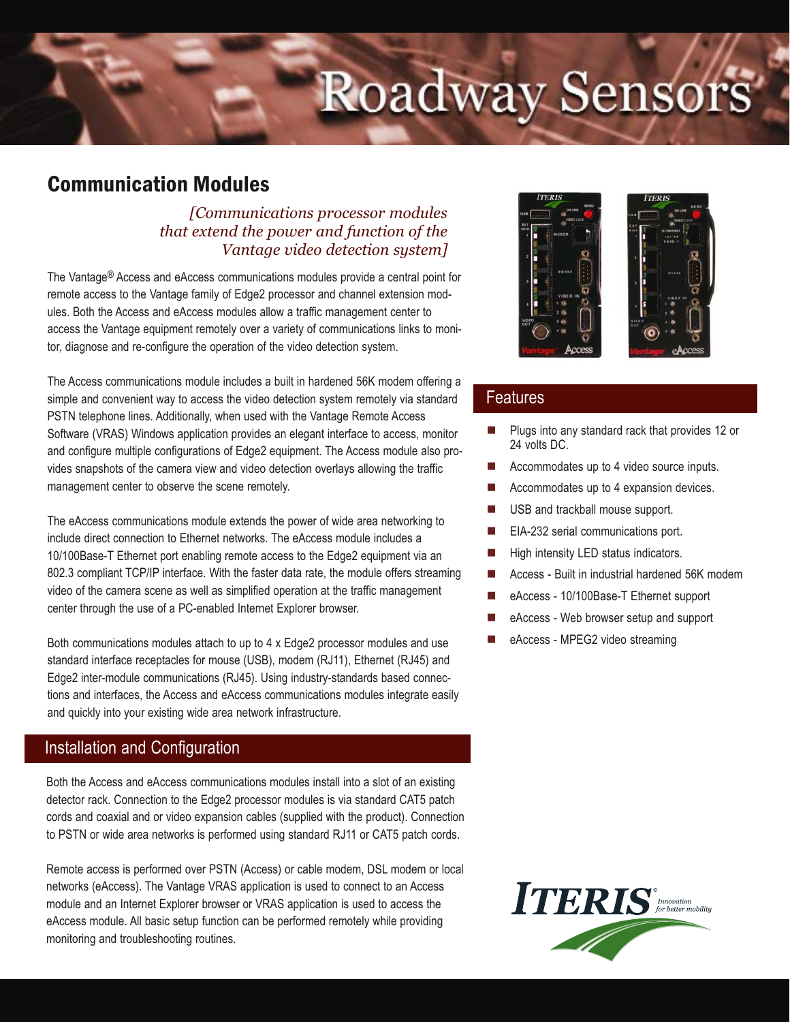# Roadway Sensors

# Communication Modules

### *[Communications processor modules that extend the power and function of the Vantage video detection system]*

The Vantage® Access and eAccess communications modules provide a central point for remote access to the Vantage family of Edge2 processor and channel extension modules. Both the Access and eAccess modules allow a traffic management center to access the Vantage equipment remotely over a variety of communications links to monitor, diagnose and re-configure the operation of the video detection system.

The Access communications module includes a built in hardened 56K modem offering a simple and convenient way to access the video detection system remotely via standard PSTN telephone lines. Additionally, when used with the Vantage Remote Access Software (VRAS) Windows application provides an elegant interface to access, monitor and configure multiple configurations of Edge2 equipment. The Access module also provides snapshots of the camera view and video detection overlays allowing the traffic management center to observe the scene remotely.

The eAccess communications module extends the power of wide area networking to include direct connection to Ethernet networks. The eAccess module includes a 10/100Base-T Ethernet port enabling remote access to the Edge2 equipment via an 802.3 compliant TCP/IP interface. With the faster data rate, the module offers streaming video of the camera scene as well as simplified operation at the traffic management center through the use of a PC-enabled Internet Explorer browser.

Both communications modules attach to up to 4 x Edge2 processor modules and use standard interface receptacles for mouse (USB), modem (RJ11), Ethernet (RJ45) and Edge2 inter-module communications (RJ45). Using industry-standards based connections and interfaces, the Access and eAccess communications modules integrate easily and quickly into your existing wide area network infrastructure.

### Installation and Configuration

Both the Access and eAccess communications modules install into a slot of an existing detector rack. Connection to the Edge2 processor modules is via standard CAT5 patch cords and coaxial and or video expansion cables (supplied with the product). Connection to PSTN or wide area networks is performed using standard RJ11 or CAT5 patch cords.

Remote access is performed over PSTN (Access) or cable modem, DSL modem or local networks (eAccess). The Vantage VRAS application is used to connect to an Access module and an Internet Explorer browser or VRAS application is used to access the eAccess module. All basic setup function can be performed remotely while providing monitoring and troubleshooting routines.



### Features

- - Plugs into any standard rack that provides 12 or 24 volts DC.
- -Accommodates up to 4 video source inputs.
- -Accommodates up to 4 expansion devices.
- -USB and trackball mouse support.
- -EIA-232 serial communications port.
- -High intensity LED status indicators.
- -Access - Built in industrial hardened 56K modem
- eAccess - 10/100Base-T Ethernet support
- eAccess - Web browser setup and support
- eAccess - MPEG2 video streaming